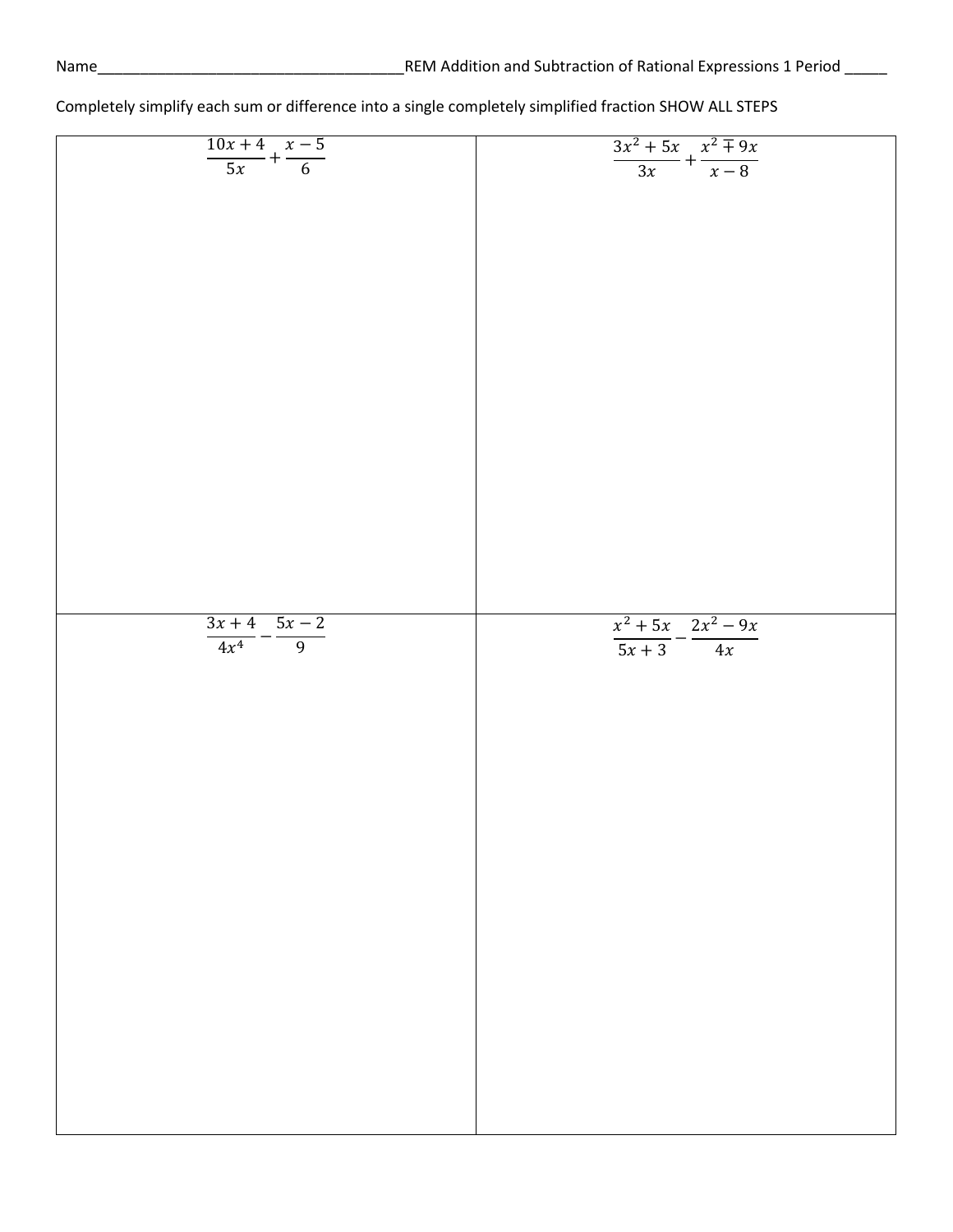| $\frac{10x+4}{5x} + \frac{x-5}{6}$   | $\frac{3x^2 + 5x}{3x} + \frac{x^2 \mp 9x}{x - 8}$ |
|--------------------------------------|---------------------------------------------------|
|                                      |                                                   |
|                                      |                                                   |
|                                      |                                                   |
|                                      |                                                   |
|                                      |                                                   |
|                                      |                                                   |
|                                      |                                                   |
|                                      |                                                   |
|                                      |                                                   |
|                                      |                                                   |
|                                      |                                                   |
|                                      |                                                   |
|                                      |                                                   |
|                                      |                                                   |
|                                      |                                                   |
|                                      |                                                   |
|                                      |                                                   |
|                                      |                                                   |
|                                      |                                                   |
|                                      |                                                   |
|                                      |                                                   |
|                                      |                                                   |
|                                      |                                                   |
|                                      |                                                   |
|                                      |                                                   |
|                                      |                                                   |
|                                      |                                                   |
|                                      |                                                   |
|                                      |                                                   |
|                                      |                                                   |
|                                      |                                                   |
|                                      |                                                   |
|                                      |                                                   |
|                                      |                                                   |
|                                      |                                                   |
|                                      |                                                   |
|                                      |                                                   |
|                                      |                                                   |
|                                      |                                                   |
|                                      |                                                   |
|                                      |                                                   |
|                                      |                                                   |
|                                      |                                                   |
|                                      |                                                   |
|                                      |                                                   |
|                                      |                                                   |
|                                      |                                                   |
|                                      | $x^2 + 5x$ $2x^2 - 9x$                            |
|                                      |                                                   |
| $\frac{3x+4}{4x^4} - \frac{5x-2}{9}$ | $\frac{1}{5x+3} - \frac{1}{4x}$                   |
|                                      |                                                   |
|                                      |                                                   |
|                                      |                                                   |
|                                      |                                                   |
|                                      |                                                   |
|                                      |                                                   |
|                                      |                                                   |
|                                      |                                                   |
|                                      |                                                   |
|                                      |                                                   |
|                                      |                                                   |
|                                      |                                                   |
|                                      |                                                   |
|                                      |                                                   |
|                                      |                                                   |
|                                      |                                                   |
|                                      |                                                   |
|                                      |                                                   |
|                                      |                                                   |
|                                      |                                                   |
|                                      |                                                   |
|                                      |                                                   |
|                                      |                                                   |
|                                      |                                                   |
|                                      |                                                   |
|                                      |                                                   |
|                                      |                                                   |
|                                      |                                                   |
|                                      |                                                   |
|                                      |                                                   |
|                                      |                                                   |
|                                      |                                                   |
|                                      |                                                   |
|                                      |                                                   |
|                                      |                                                   |
|                                      |                                                   |
|                                      |                                                   |
|                                      |                                                   |
|                                      |                                                   |
|                                      |                                                   |
|                                      |                                                   |
|                                      |                                                   |
|                                      |                                                   |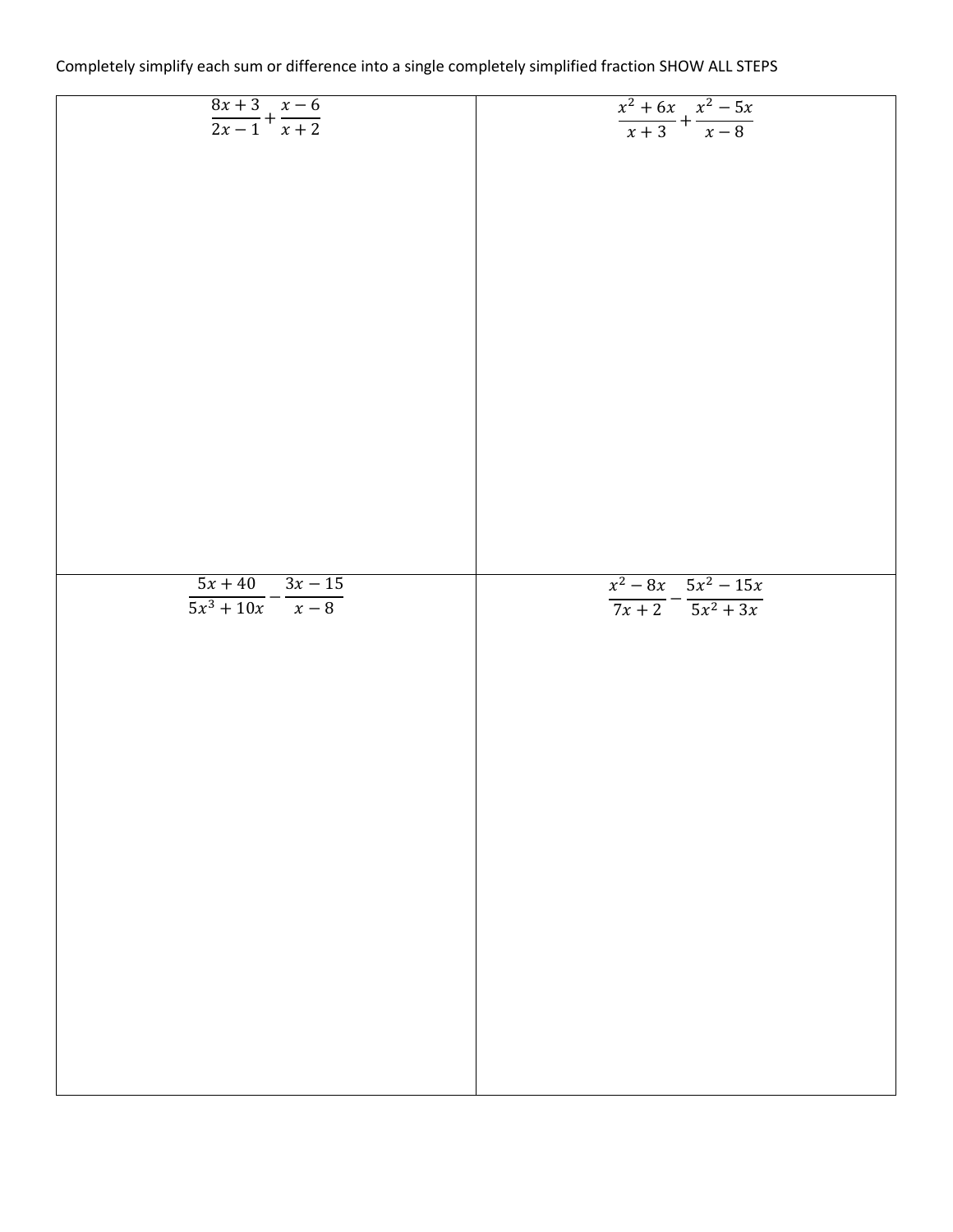| Completely simplify each sum or difference into a single completely simplified fraction SHOW ALL STEPS |  |
|--------------------------------------------------------------------------------------------------------|--|
|--------------------------------------------------------------------------------------------------------|--|

| $\frac{8x+3}{2x-1} + \frac{x-6}{x+2}$ | $\frac{x^2 + 6x}{x + 3} + \frac{x^2 - 5x}{x - 8}$ |
|---------------------------------------|---------------------------------------------------|
|                                       |                                                   |
|                                       |                                                   |
|                                       |                                                   |
|                                       |                                                   |
|                                       |                                                   |
|                                       |                                                   |
|                                       |                                                   |
|                                       |                                                   |
|                                       |                                                   |
|                                       |                                                   |
|                                       |                                                   |
|                                       |                                                   |
|                                       |                                                   |
|                                       |                                                   |
|                                       |                                                   |
|                                       |                                                   |
|                                       |                                                   |
|                                       |                                                   |
|                                       |                                                   |
|                                       |                                                   |
|                                       |                                                   |
|                                       |                                                   |
|                                       |                                                   |
|                                       |                                                   |
|                                       |                                                   |
|                                       |                                                   |
|                                       |                                                   |
|                                       |                                                   |
|                                       |                                                   |
|                                       |                                                   |
|                                       |                                                   |
|                                       |                                                   |
|                                       |                                                   |
|                                       |                                                   |
|                                       |                                                   |
|                                       |                                                   |
|                                       |                                                   |
|                                       |                                                   |
|                                       |                                                   |
|                                       |                                                   |
| $5x + 40$ $3x - 15$                   | $x^2-8x$ $5x^2-15x$                               |
| $\frac{1}{5x^3+10x}-\frac{1}{x-8}$    |                                                   |
|                                       | $\frac{1}{7x+2} - \frac{1}{5x^2+3x}$              |
|                                       |                                                   |
|                                       |                                                   |
|                                       |                                                   |
|                                       |                                                   |
|                                       |                                                   |
|                                       |                                                   |
|                                       |                                                   |
|                                       |                                                   |
|                                       |                                                   |
|                                       |                                                   |
|                                       |                                                   |
|                                       |                                                   |
|                                       |                                                   |
|                                       |                                                   |
|                                       |                                                   |
|                                       |                                                   |
|                                       |                                                   |
|                                       |                                                   |
|                                       |                                                   |
|                                       |                                                   |
|                                       |                                                   |
|                                       |                                                   |
|                                       |                                                   |
|                                       |                                                   |
|                                       |                                                   |
|                                       |                                                   |
|                                       |                                                   |
|                                       |                                                   |
|                                       |                                                   |
|                                       |                                                   |
|                                       |                                                   |
|                                       |                                                   |
|                                       |                                                   |
|                                       |                                                   |
|                                       |                                                   |
|                                       |                                                   |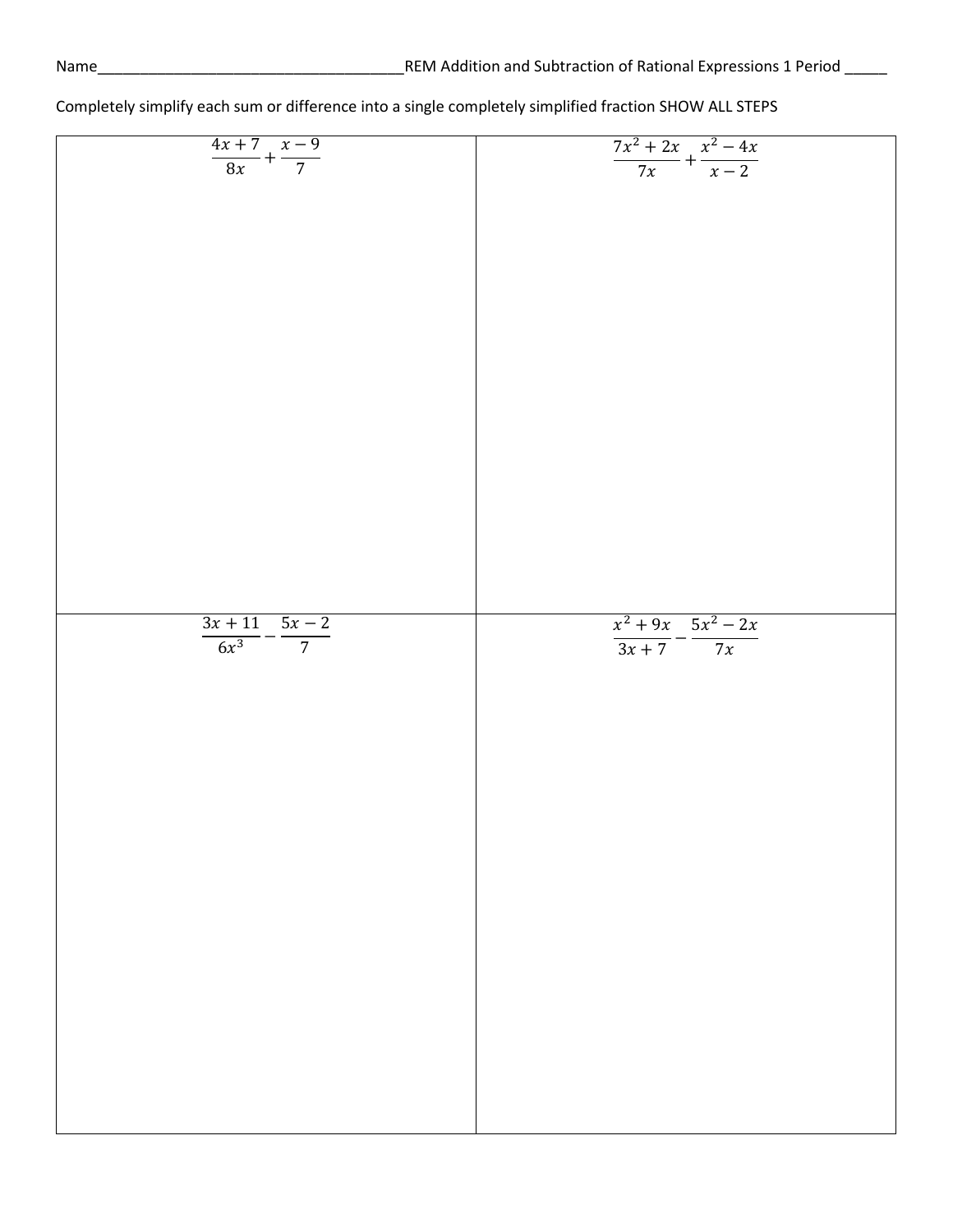| $\frac{4x+7}{8x} + \frac{x-9}{7}$     | $\frac{7x^2+2x}{7x}+\frac{x^2-4x}{x-2}$ |
|---------------------------------------|-----------------------------------------|
|                                       |                                         |
|                                       |                                         |
|                                       |                                         |
|                                       |                                         |
|                                       |                                         |
|                                       |                                         |
|                                       |                                         |
|                                       |                                         |
|                                       |                                         |
|                                       |                                         |
|                                       |                                         |
|                                       |                                         |
|                                       |                                         |
|                                       |                                         |
|                                       |                                         |
|                                       |                                         |
|                                       |                                         |
|                                       |                                         |
|                                       |                                         |
|                                       |                                         |
|                                       |                                         |
|                                       |                                         |
|                                       |                                         |
|                                       |                                         |
|                                       |                                         |
|                                       |                                         |
|                                       |                                         |
|                                       |                                         |
|                                       |                                         |
|                                       |                                         |
|                                       |                                         |
|                                       |                                         |
|                                       |                                         |
|                                       |                                         |
|                                       |                                         |
|                                       |                                         |
|                                       |                                         |
|                                       |                                         |
|                                       |                                         |
|                                       |                                         |
|                                       |                                         |
|                                       |                                         |
|                                       |                                         |
|                                       |                                         |
|                                       |                                         |
|                                       |                                         |
|                                       |                                         |
|                                       |                                         |
|                                       |                                         |
|                                       |                                         |
|                                       |                                         |
|                                       |                                         |
|                                       |                                         |
|                                       |                                         |
|                                       | $x^2 + 9x - 5x^2 - 2x$                  |
|                                       |                                         |
| $\frac{3x+11}{6x^3} - \frac{5x-2}{7}$ |                                         |
|                                       | $\frac{1}{3x+7} - \frac{1}{7x}$         |
|                                       |                                         |
|                                       |                                         |
|                                       |                                         |
|                                       |                                         |
|                                       |                                         |
|                                       |                                         |
|                                       |                                         |
|                                       |                                         |
|                                       |                                         |
|                                       |                                         |
|                                       |                                         |
|                                       |                                         |
|                                       |                                         |
|                                       |                                         |
|                                       |                                         |
|                                       |                                         |
|                                       |                                         |
|                                       |                                         |
|                                       |                                         |
|                                       |                                         |
|                                       |                                         |
|                                       |                                         |
|                                       |                                         |
|                                       |                                         |
|                                       |                                         |
|                                       |                                         |
|                                       |                                         |
|                                       |                                         |
|                                       |                                         |
|                                       |                                         |
|                                       |                                         |
|                                       |                                         |
|                                       |                                         |
|                                       |                                         |
|                                       |                                         |
|                                       |                                         |
|                                       |                                         |
|                                       |                                         |
|                                       |                                         |
|                                       |                                         |
|                                       |                                         |
|                                       |                                         |
|                                       |                                         |
|                                       |                                         |
|                                       |                                         |
|                                       |                                         |
|                                       |                                         |
|                                       |                                         |
|                                       |                                         |
|                                       |                                         |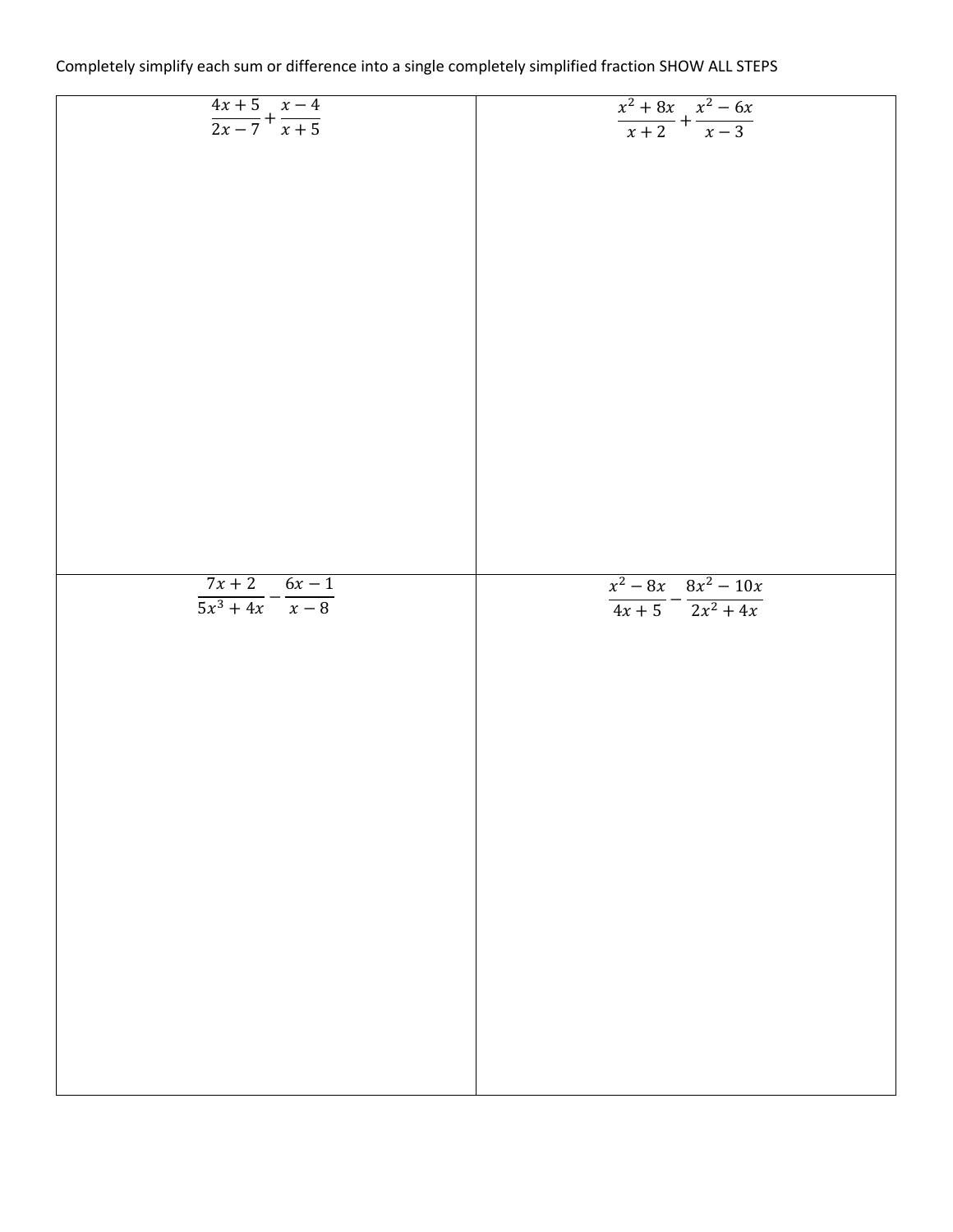| Completely simplify each sum or difference into a single completely simplified fraction SHOW ALL STEPS |  |
|--------------------------------------------------------------------------------------------------------|--|
|--------------------------------------------------------------------------------------------------------|--|

| $\frac{4x+5}{2x-7} + \frac{x-4}{x+5}$ | $\frac{x^2+8x}{x+2} + \frac{x^2-6x}{x-3}$      |
|---------------------------------------|------------------------------------------------|
|                                       |                                                |
|                                       |                                                |
|                                       |                                                |
|                                       |                                                |
|                                       |                                                |
|                                       |                                                |
|                                       |                                                |
|                                       |                                                |
|                                       |                                                |
|                                       |                                                |
|                                       |                                                |
|                                       |                                                |
|                                       |                                                |
|                                       |                                                |
|                                       |                                                |
|                                       |                                                |
|                                       |                                                |
|                                       |                                                |
|                                       |                                                |
|                                       |                                                |
|                                       |                                                |
|                                       |                                                |
|                                       |                                                |
|                                       |                                                |
|                                       |                                                |
|                                       |                                                |
|                                       |                                                |
|                                       |                                                |
|                                       |                                                |
|                                       |                                                |
|                                       |                                                |
|                                       |                                                |
|                                       |                                                |
|                                       |                                                |
|                                       |                                                |
|                                       |                                                |
|                                       |                                                |
| $7x + 2$ $6x - 1$                     |                                                |
| $\frac{1}{5x^3+4x}-\frac{1}{x-8}$     |                                                |
|                                       | $\frac{x^2-8x}{4x+5}-\frac{8x^2-10x}{2x^2+4x}$ |
|                                       |                                                |
|                                       |                                                |
|                                       |                                                |
|                                       |                                                |
|                                       |                                                |
|                                       |                                                |
|                                       |                                                |
|                                       |                                                |
|                                       |                                                |
|                                       |                                                |
|                                       |                                                |
|                                       |                                                |
|                                       |                                                |
|                                       |                                                |
|                                       |                                                |
|                                       |                                                |
|                                       |                                                |
|                                       |                                                |
|                                       |                                                |
|                                       |                                                |
|                                       |                                                |
|                                       |                                                |
|                                       |                                                |
|                                       |                                                |
|                                       |                                                |
|                                       |                                                |
|                                       |                                                |
|                                       |                                                |
|                                       |                                                |
|                                       |                                                |
|                                       |                                                |
|                                       |                                                |
|                                       |                                                |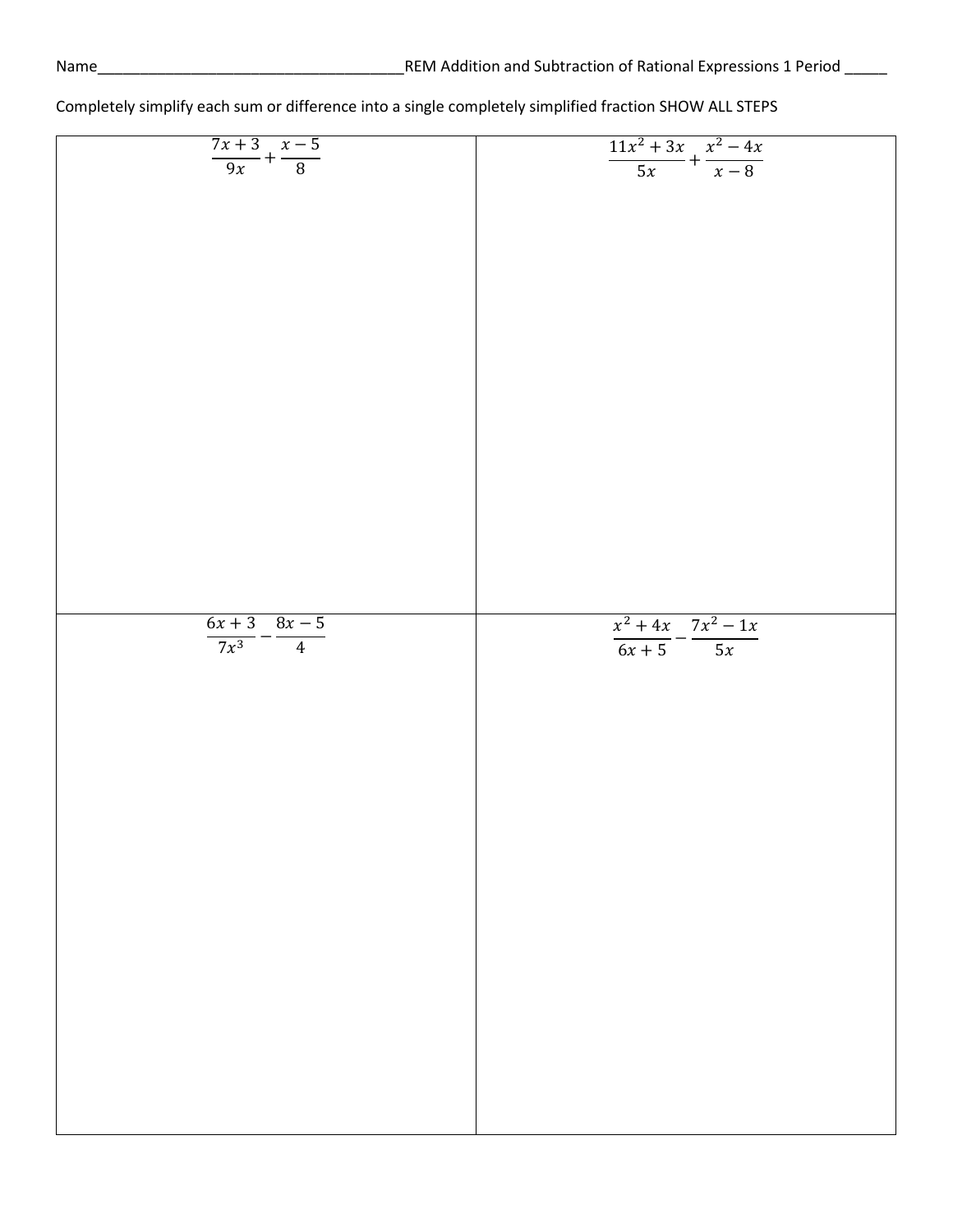| $\frac{7x+3}{9x} + \frac{x-5}{8}$    | $\frac{11x^2 + 3x}{5x} + \frac{x^2 - 4x}{x - 8}$ |
|--------------------------------------|--------------------------------------------------|
|                                      |                                                  |
|                                      |                                                  |
|                                      |                                                  |
|                                      |                                                  |
|                                      |                                                  |
|                                      |                                                  |
|                                      |                                                  |
|                                      |                                                  |
|                                      |                                                  |
|                                      |                                                  |
|                                      |                                                  |
|                                      |                                                  |
|                                      |                                                  |
|                                      |                                                  |
|                                      |                                                  |
|                                      |                                                  |
|                                      |                                                  |
|                                      |                                                  |
|                                      |                                                  |
|                                      |                                                  |
|                                      |                                                  |
|                                      |                                                  |
|                                      |                                                  |
|                                      |                                                  |
|                                      |                                                  |
|                                      |                                                  |
|                                      |                                                  |
|                                      |                                                  |
|                                      |                                                  |
|                                      |                                                  |
|                                      |                                                  |
|                                      |                                                  |
|                                      |                                                  |
|                                      |                                                  |
|                                      |                                                  |
|                                      |                                                  |
|                                      |                                                  |
|                                      |                                                  |
|                                      |                                                  |
|                                      |                                                  |
|                                      |                                                  |
|                                      |                                                  |
|                                      |                                                  |
|                                      |                                                  |
|                                      |                                                  |
|                                      |                                                  |
|                                      |                                                  |
|                                      | $x^2 + 4x$ $7x^2 - 1x$                           |
|                                      |                                                  |
|                                      |                                                  |
|                                      |                                                  |
|                                      |                                                  |
| $\frac{6x+3}{7x^3} - \frac{8x-5}{4}$ | $\frac{6x+5}{6x+5} - \frac{1}{5x}$               |
|                                      |                                                  |
|                                      |                                                  |
|                                      |                                                  |
|                                      |                                                  |
|                                      |                                                  |
|                                      |                                                  |
|                                      |                                                  |
|                                      |                                                  |
|                                      |                                                  |
|                                      |                                                  |
|                                      |                                                  |
|                                      |                                                  |
|                                      |                                                  |
|                                      |                                                  |
|                                      |                                                  |
|                                      |                                                  |
|                                      |                                                  |
|                                      |                                                  |
|                                      |                                                  |
|                                      |                                                  |
|                                      |                                                  |
|                                      |                                                  |
|                                      |                                                  |
|                                      |                                                  |
|                                      |                                                  |
|                                      |                                                  |
|                                      |                                                  |
|                                      |                                                  |
|                                      |                                                  |
|                                      |                                                  |
|                                      |                                                  |
|                                      |                                                  |
|                                      |                                                  |
|                                      |                                                  |
|                                      |                                                  |
|                                      |                                                  |
|                                      |                                                  |
|                                      |                                                  |
|                                      |                                                  |
|                                      |                                                  |
|                                      |                                                  |
|                                      |                                                  |
|                                      |                                                  |
|                                      |                                                  |
|                                      |                                                  |
|                                      |                                                  |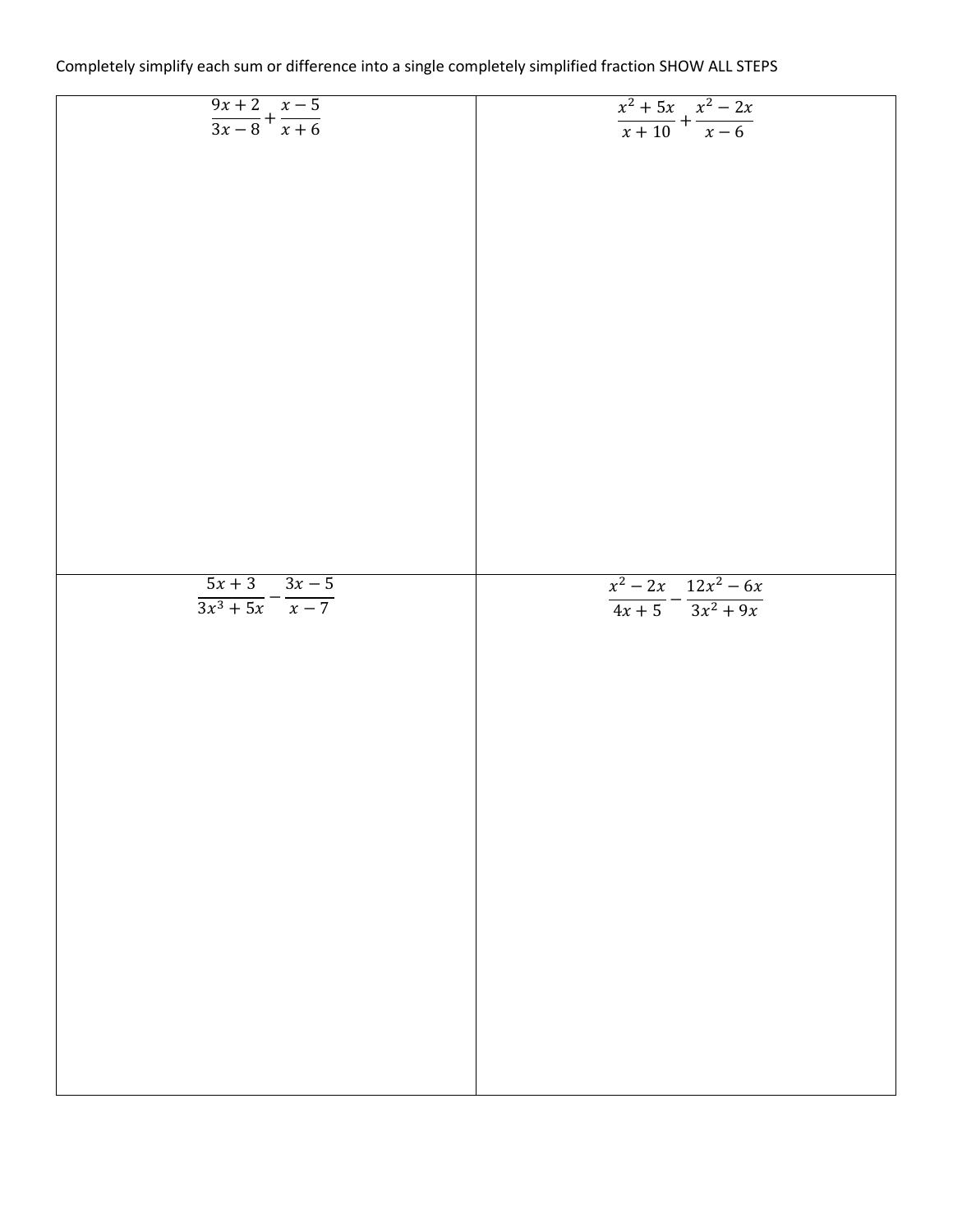| Completely simplify each sum or difference into a single completely simplified fraction SHOW ALL STEPS |  |
|--------------------------------------------------------------------------------------------------------|--|
|--------------------------------------------------------------------------------------------------------|--|

| $\frac{9x+2}{3x-8} + \frac{x-5}{x+6}$ | $\frac{x^2+5x}{x+10} + \frac{x^2-2x}{x-6}$     |
|---------------------------------------|------------------------------------------------|
|                                       |                                                |
|                                       |                                                |
|                                       |                                                |
|                                       |                                                |
|                                       |                                                |
|                                       |                                                |
|                                       |                                                |
|                                       |                                                |
|                                       |                                                |
|                                       |                                                |
|                                       |                                                |
|                                       |                                                |
|                                       |                                                |
|                                       |                                                |
|                                       |                                                |
|                                       |                                                |
|                                       |                                                |
|                                       |                                                |
|                                       |                                                |
|                                       |                                                |
|                                       |                                                |
|                                       |                                                |
|                                       |                                                |
|                                       |                                                |
|                                       |                                                |
|                                       |                                                |
|                                       |                                                |
|                                       |                                                |
|                                       |                                                |
|                                       |                                                |
|                                       |                                                |
|                                       |                                                |
|                                       |                                                |
|                                       |                                                |
|                                       |                                                |
| $5x+3$ $3x-5$                         |                                                |
| $\frac{1}{3x^3+5x}-\frac{1}{x-7}$     |                                                |
|                                       | $\frac{x^2-2x}{4x+5}-\frac{12x^2-6x}{3x^2+9x}$ |
|                                       |                                                |
|                                       |                                                |
|                                       |                                                |
|                                       |                                                |
|                                       |                                                |
|                                       |                                                |
|                                       |                                                |
|                                       |                                                |
|                                       |                                                |
|                                       |                                                |
|                                       |                                                |
|                                       |                                                |
|                                       |                                                |
|                                       |                                                |
|                                       |                                                |
|                                       |                                                |
|                                       |                                                |
|                                       |                                                |
|                                       |                                                |
|                                       |                                                |
|                                       |                                                |
|                                       |                                                |
|                                       |                                                |
|                                       |                                                |
|                                       |                                                |
|                                       |                                                |
|                                       |                                                |
|                                       |                                                |
|                                       |                                                |
|                                       |                                                |
|                                       |                                                |
|                                       |                                                |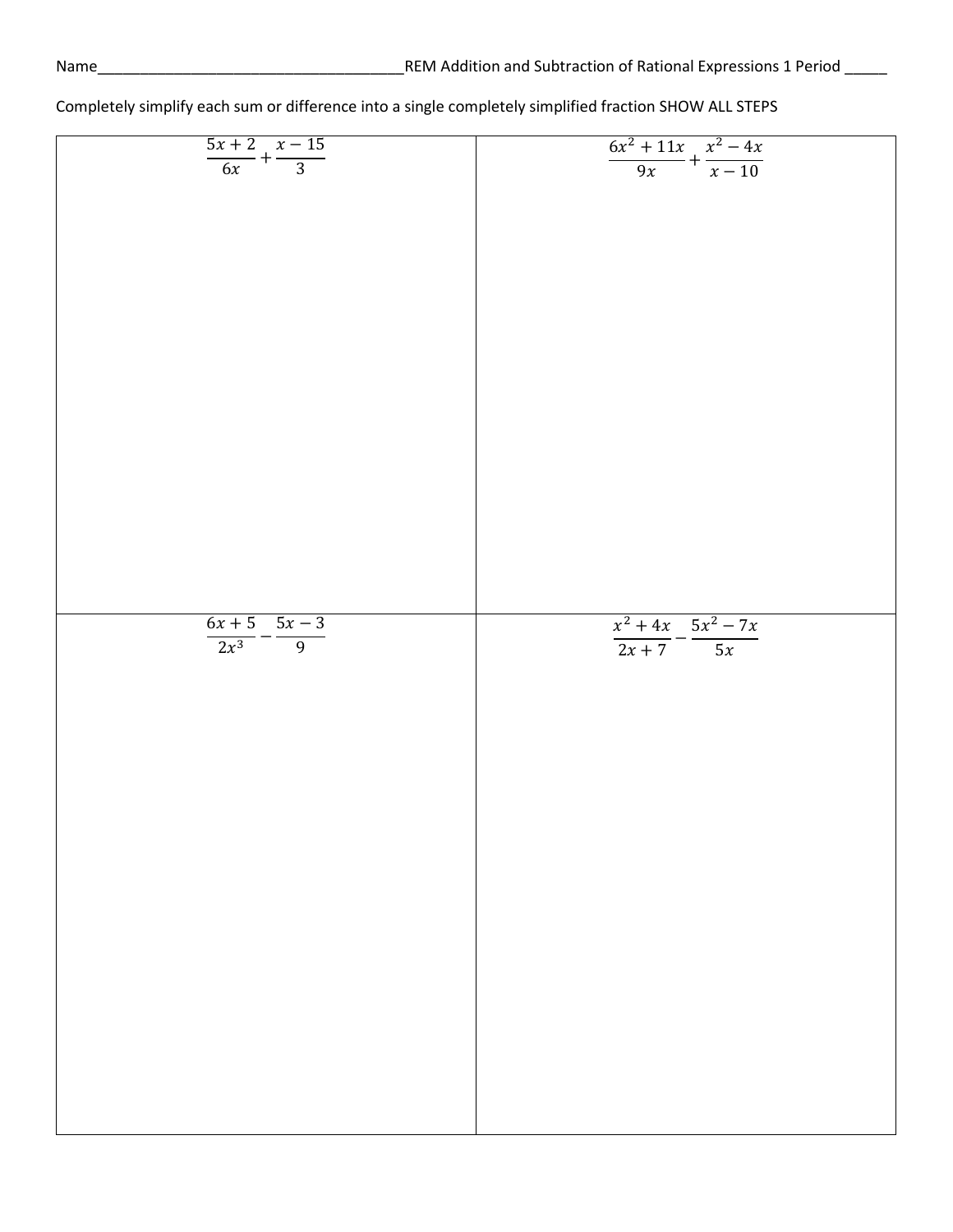| $\frac{5x+2}{6x} + \frac{x-15}{3}$   | $\frac{6x^2+11x}{9x}+\frac{x^2-4x}{x-10}$ |
|--------------------------------------|-------------------------------------------|
|                                      |                                           |
|                                      |                                           |
|                                      |                                           |
|                                      |                                           |
|                                      |                                           |
|                                      |                                           |
|                                      |                                           |
|                                      |                                           |
|                                      |                                           |
|                                      |                                           |
|                                      |                                           |
|                                      |                                           |
|                                      |                                           |
|                                      |                                           |
|                                      |                                           |
|                                      |                                           |
|                                      |                                           |
|                                      |                                           |
|                                      |                                           |
|                                      |                                           |
|                                      |                                           |
|                                      |                                           |
|                                      |                                           |
|                                      |                                           |
|                                      |                                           |
|                                      |                                           |
|                                      |                                           |
|                                      |                                           |
|                                      |                                           |
|                                      |                                           |
|                                      |                                           |
|                                      |                                           |
|                                      |                                           |
|                                      |                                           |
|                                      |                                           |
|                                      |                                           |
|                                      |                                           |
|                                      |                                           |
|                                      |                                           |
|                                      |                                           |
|                                      |                                           |
|                                      |                                           |
|                                      |                                           |
|                                      |                                           |
|                                      |                                           |
|                                      |                                           |
|                                      |                                           |
|                                      |                                           |
|                                      |                                           |
|                                      |                                           |
|                                      |                                           |
|                                      |                                           |
|                                      |                                           |
|                                      |                                           |
|                                      |                                           |
|                                      | $x^2 + 4x$ $5x^2 - 7x$                    |
|                                      |                                           |
| $\frac{6x+5}{2x^3} - \frac{5x-3}{9}$ |                                           |
|                                      | $\frac{1}{2x+7} - \frac{1}{5x}$           |
|                                      |                                           |
|                                      |                                           |
|                                      |                                           |
|                                      |                                           |
|                                      |                                           |
|                                      |                                           |
|                                      |                                           |
|                                      |                                           |
|                                      |                                           |
|                                      |                                           |
|                                      |                                           |
|                                      |                                           |
|                                      |                                           |
|                                      |                                           |
|                                      |                                           |
|                                      |                                           |
|                                      |                                           |
|                                      |                                           |
|                                      |                                           |
|                                      |                                           |
|                                      |                                           |
|                                      |                                           |
|                                      |                                           |
|                                      |                                           |
|                                      |                                           |
|                                      |                                           |
|                                      |                                           |
|                                      |                                           |
|                                      |                                           |
|                                      |                                           |
|                                      |                                           |
|                                      |                                           |
|                                      |                                           |
|                                      |                                           |
|                                      |                                           |
|                                      |                                           |
|                                      |                                           |
|                                      |                                           |
|                                      |                                           |
|                                      |                                           |
|                                      |                                           |
|                                      |                                           |
|                                      |                                           |
|                                      |                                           |
|                                      |                                           |
|                                      |                                           |
|                                      |                                           |
|                                      |                                           |
|                                      |                                           |
|                                      |                                           |
|                                      |                                           |
|                                      |                                           |